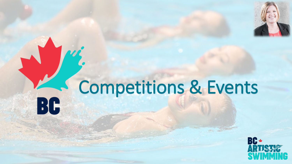

## Competitions & EventsBC

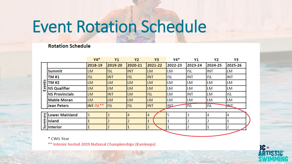## Event Rotation Schedule

#### **Rotation Schedule**

|                    |                       | $Y4*$            | Y1         | <b>Y2</b>  | Y3             | Y4*     | Υ1         | Υ2         | Y3         |
|--------------------|-----------------------|------------------|------------|------------|----------------|---------|------------|------------|------------|
| S<br><b>Events</b> |                       | 2018-19          | 2019-20    | 2020-21    | 2021-22        | 2022-23 | 2023-24    | 2024-25    | 2025-26    |
|                    | <b>Summit</b>         | <b>LM</b>        | <b>ISL</b> | <b>INT</b> | LM.            | LM      | ISL        | <b>INT</b> | LM         |
|                    | TM #1                 | <b>ISL</b>       | <b>INT</b> | <b>ISL</b> | <b>INT</b>     | isl     | <b>INT</b> | <b>ISL</b> | <b>INT</b> |
|                    | TM #2                 | <b>LM</b>        | <b>LM</b>  | <b>LM</b>  | LM.            | LM      | LM         | LM         | <b>LM</b>  |
|                    | <b>NS Qualifier</b>   | <b>LM</b>        | <b>LM</b>  | <b>LM</b>  | LM             | LM      | LM         | LM         | <b>LM</b>  |
|                    | <b>NS Provincials</b> | <b>LM</b>        | <b>INT</b> | LM.        | isl            | LM      | <b>INT</b> | LM         | <b>ISL</b> |
|                    | <b>Mable Moran</b>    | <b>LM</b>        | <b>LM</b>  | <b>LM</b>  | LM             | LM      | LM         | LM         | LM         |
|                    | <b>Jean Peters</b>    | <b>INT ISL**</b> | <b>ISL</b> | <b>ISL</b> | <b>INT</b>     | INT     | <b>TSL</b> | <b>ISL</b> | È          |
|                    |                       |                  |            |            |                |         |            |            |            |
| ζı<br>Ë<br>ಹ       | <b>Lower Mainland</b> | 5                | 3          | 4          | 4              | 5       | 3          | 4          | 4          |
|                    | <b>Island</b>         |                  |            |            |                | 1       |            | 2          |            |
|                    | <b>Interior</b>       |                  |            |            | $\overline{2}$ | 1       | 2          | 1          | 2          |
|                    |                       |                  |            |            |                |         |            |            |            |

\* CWG Year

\*\* Interior hosted 2019 National Championships (Kamloops)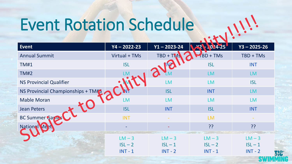# Event Rotation Schedule

| Event                              | $Y4 - 2022 - 23$ | $Y1 - 2023 - 24$ | 0.24-25                 | $Y3 - 2025 - 26$ |
|------------------------------------|------------------|------------------|-------------------------|------------------|
| <b>Annual Summit</b>               | Virtual + TMs    | TBD + TMS        | $\blacksquare$ BD + TMs | TBD + TMs        |
| <b>TM#1</b>                        | <b>ISL</b>       | IVZ              | <b>ISL</b>              | <b>INT</b>       |
| <b>TM#2</b>                        |                  |                  | LM                      | <b>LM</b>        |
| <b>NS Provincial Qualifier</b>     |                  | <b>LM</b>        | LM                      | <b>ISL</b>       |
| NS Provincial Championships + TM#3 |                  | <b>ISL</b>       | <b>INT</b>              | <b>LM</b>        |
| <b>Mable Moran</b>                 | <b>LM</b>        | <b>LM</b>        | <b>LM</b>               | <b>LM</b>        |
| <b>Jean Peters</b>                 | <b>ISL</b>       | <b>INT</b>       | <b>ISL</b>              | <b>INT</b>       |
| BC Summer Games                    | <b>INT</b>       |                  | <b>LM</b>               |                  |
| <b>National Mee</b>                |                  |                  | ??                      | ??               |
|                                    | $LM - 3$         | $LM - 3$         | $LM - 3$                | $LM - 3$         |
|                                    | $ISL - 2$        | $ISL - 1$        | $ISL - 2$               | $ISL - 1$        |
|                                    | $INT - 1$        | $INT - 2$        | $INT - 1$               | $INT - 2$        |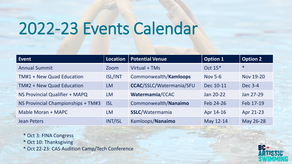## 2022-23 Events Calendar

| Event                              | Location       | <b>Potential Venue</b>          | <b>Option 1</b>     | <b>Option 2</b> |
|------------------------------------|----------------|---------------------------------|---------------------|-----------------|
| <b>Annual Summit</b>               | Zoom           | Virtual + TMs                   | Oct 15 <sup>*</sup> | $\ast$          |
| TM#1 + New Quad Education          | <b>ISL/INT</b> | Commonwealth/Kamloops           | <b>Nov 5-6</b>      | Nov 19-20       |
| TM#2 + New Quad Education          | <b>LM</b>      | <b>CCAC/SSLC/Watermania/SFU</b> | Dec 10-11           | Dec 3-4         |
| NS Provincial Qualifier + MAPQ     | <b>LM</b>      | Watermamia/CCAC                 | Jan 20-22           | Jan 27-29       |
| NS Provincial Championships + TM#3 | <b>ISL</b>     | Commonwealth/Nanaimo            | Feb 24-26           | Feb 17-19       |
| Mable Moran + MAPC                 | <b>LM</b>      | <b>SSLC/Watermamia</b>          | Apr 14-16           | Apr 21-23       |
| <b>Jean Peters</b>                 | INT/ISL        | Kamloops/Nanaimo                | May 12-14           | May 26-28       |

\* Oct 3: FINA Congress

\* Oct 10: Thanksgiving

\* Oct 22-23: CAS Audition Camp/Tech Conference